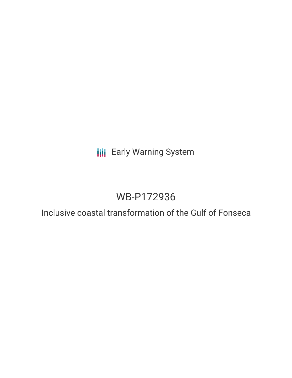# **III** Early Warning System

# WB-P172936

Inclusive coastal transformation of the Gulf of Fonseca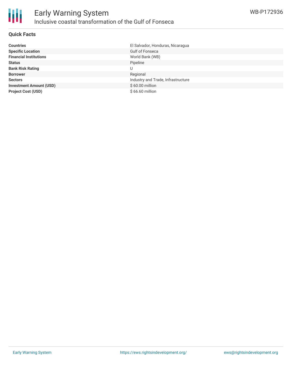### **Quick Facts**

| <b>Countries</b>               | El Salvador, Honduras, Nicaragua   |
|--------------------------------|------------------------------------|
| <b>Specific Location</b>       | <b>Gulf of Fonseca</b>             |
| <b>Financial Institutions</b>  | World Bank (WB)                    |
| <b>Status</b>                  | Pipeline                           |
| <b>Bank Risk Rating</b>        |                                    |
| <b>Borrower</b>                | Regional                           |
| <b>Sectors</b>                 | Industry and Trade, Infrastructure |
| <b>Investment Amount (USD)</b> | \$60.00 million                    |
| <b>Project Cost (USD)</b>      | \$66.60 million                    |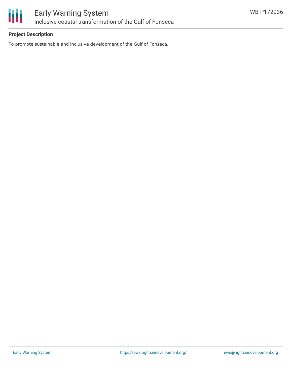

# **Project Description**

To promote sustainable and inclusive development of the Gulf of Fonseca.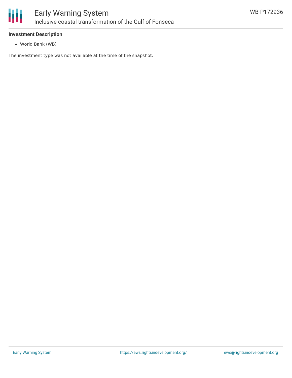

#### **Investment Description**

World Bank (WB)

The investment type was not available at the time of the snapshot.